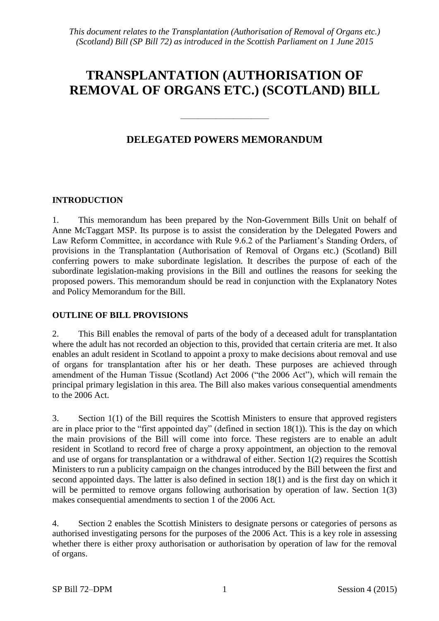# **TRANSPLANTATION (AUTHORISATION OF REMOVAL OF ORGANS ETC.) (SCOTLAND) BILL**

# **DELEGATED POWERS MEMORANDUM**

——————————

### **INTRODUCTION**

1. This memorandum has been prepared by the Non-Government Bills Unit on behalf of Anne McTaggart MSP. Its purpose is to assist the consideration by the Delegated Powers and Law Reform Committee, in accordance with Rule 9.6.2 of the Parliament's Standing Orders, of provisions in the Transplantation (Authorisation of Removal of Organs etc.) (Scotland) Bill conferring powers to make subordinate legislation. It describes the purpose of each of the subordinate legislation-making provisions in the Bill and outlines the reasons for seeking the proposed powers. This memorandum should be read in conjunction with the Explanatory Notes and Policy Memorandum for the Bill.

#### **OUTLINE OF BILL PROVISIONS**

2. This Bill enables the removal of parts of the body of a deceased adult for transplantation where the adult has not recorded an objection to this, provided that certain criteria are met. It also enables an adult resident in Scotland to appoint a proxy to make decisions about removal and use of organs for transplantation after his or her death. These purposes are achieved through amendment of the Human Tissue (Scotland) Act 2006 ("the 2006 Act"), which will remain the principal primary legislation in this area. The Bill also makes various consequential amendments to the 2006 Act.

3. Section 1(1) of the Bill requires the Scottish Ministers to ensure that approved registers are in place prior to the "first appointed day" (defined in section 18(1)). This is the day on which the main provisions of the Bill will come into force. These registers are to enable an adult resident in Scotland to record free of charge a proxy appointment, an objection to the removal and use of organs for transplantation or a withdrawal of either. Section 1(2) requires the Scottish Ministers to run a publicity campaign on the changes introduced by the Bill between the first and second appointed days. The latter is also defined in section 18(1) and is the first day on which it will be permitted to remove organs following authorisation by operation of law. Section 1(3) makes consequential amendments to section 1 of the 2006 Act.

4. Section 2 enables the Scottish Ministers to designate persons or categories of persons as authorised investigating persons for the purposes of the 2006 Act. This is a key role in assessing whether there is either proxy authorisation or authorisation by operation of law for the removal of organs.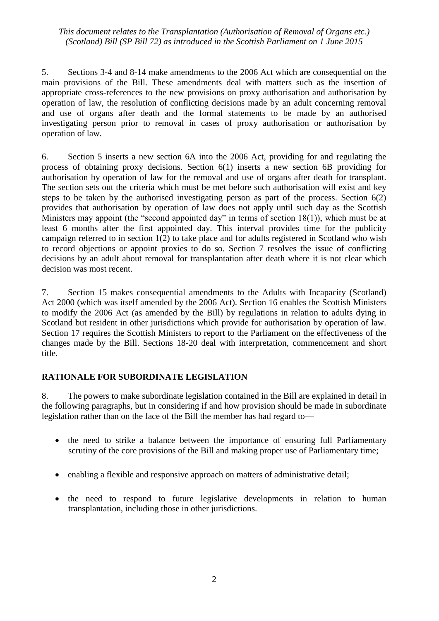5. Sections 3-4 and 8-14 make amendments to the 2006 Act which are consequential on the main provisions of the Bill. These amendments deal with matters such as the insertion of appropriate cross-references to the new provisions on proxy authorisation and authorisation by operation of law, the resolution of conflicting decisions made by an adult concerning removal and use of organs after death and the formal statements to be made by an authorised investigating person prior to removal in cases of proxy authorisation or authorisation by operation of law.

6. Section 5 inserts a new section 6A into the 2006 Act, providing for and regulating the process of obtaining proxy decisions. Section 6(1) inserts a new section 6B providing for authorisation by operation of law for the removal and use of organs after death for transplant. The section sets out the criteria which must be met before such authorisation will exist and key steps to be taken by the authorised investigating person as part of the process. Section 6(2) provides that authorisation by operation of law does not apply until such day as the Scottish Ministers may appoint (the "second appointed day" in terms of section 18(1)), which must be at least 6 months after the first appointed day. This interval provides time for the publicity campaign referred to in section 1(2) to take place and for adults registered in Scotland who wish to record objections or appoint proxies to do so. Section 7 resolves the issue of conflicting decisions by an adult about removal for transplantation after death where it is not clear which decision was most recent.

7. Section 15 makes consequential amendments to the Adults with Incapacity (Scotland) Act 2000 (which was itself amended by the 2006 Act). Section 16 enables the Scottish Ministers to modify the 2006 Act (as amended by the Bill) by regulations in relation to adults dying in Scotland but resident in other jurisdictions which provide for authorisation by operation of law. Section 17 requires the Scottish Ministers to report to the Parliament on the effectiveness of the changes made by the Bill. Sections 18-20 deal with interpretation, commencement and short title.

## **RATIONALE FOR SUBORDINATE LEGISLATION**

8. The powers to make subordinate legislation contained in the Bill are explained in detail in the following paragraphs, but in considering if and how provision should be made in subordinate legislation rather than on the face of the Bill the member has had regard to—

- the need to strike a balance between the importance of ensuring full Parliamentary scrutiny of the core provisions of the Bill and making proper use of Parliamentary time;
- enabling a flexible and responsive approach on matters of administrative detail;
- the need to respond to future legislative developments in relation to human transplantation, including those in other jurisdictions.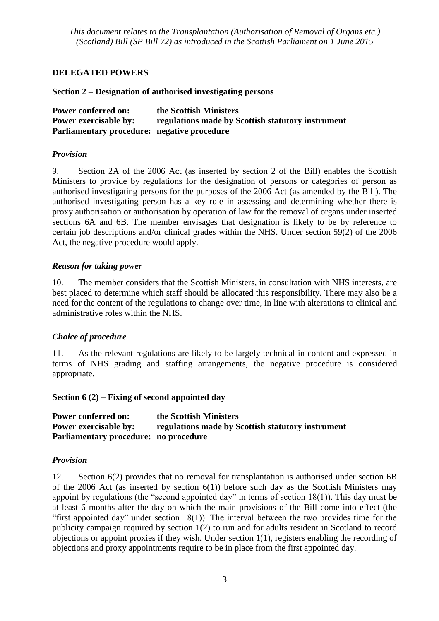### **DELEGATED POWERS**

#### **Section 2 – Designation of authorised investigating persons**

| <b>Power conferred on:</b>                  | the Scottish Ministers                            |
|---------------------------------------------|---------------------------------------------------|
| <b>Power exercisable by:</b>                | regulations made by Scottish statutory instrument |
| Parliamentary procedure: negative procedure |                                                   |

#### *Provision*

9. Section 2A of the 2006 Act (as inserted by section 2 of the Bill) enables the Scottish Ministers to provide by regulations for the designation of persons or categories of person as authorised investigating persons for the purposes of the 2006 Act (as amended by the Bill). The authorised investigating person has a key role in assessing and determining whether there is proxy authorisation or authorisation by operation of law for the removal of organs under inserted sections 6A and 6B. The member envisages that designation is likely to be by reference to certain job descriptions and/or clinical grades within the NHS. Under section 59(2) of the 2006 Act, the negative procedure would apply.

#### *Reason for taking power*

10. The member considers that the Scottish Ministers, in consultation with NHS interests, are best placed to determine which staff should be allocated this responsibility. There may also be a need for the content of the regulations to change over time, in line with alterations to clinical and administrative roles within the NHS.

#### *Choice of procedure*

11. As the relevant regulations are likely to be largely technical in content and expressed in terms of NHS grading and staffing arrangements, the negative procedure is considered appropriate.

#### **Section 6 (2) – Fixing of second appointed day**

| <b>Power conferred on:</b>            | the Scottish Ministers                            |
|---------------------------------------|---------------------------------------------------|
| <b>Power exercisable by:</b>          | regulations made by Scottish statutory instrument |
| Parliamentary procedure: no procedure |                                                   |

#### *Provision*

12. Section 6(2) provides that no removal for transplantation is authorised under section 6B of the 2006 Act (as inserted by section  $6(1)$ ) before such day as the Scottish Ministers may appoint by regulations (the "second appointed day" in terms of section 18(1)). This day must be at least 6 months after the day on which the main provisions of the Bill come into effect (the "first appointed day" under section  $18(1)$ ). The interval between the two provides time for the publicity campaign required by section 1(2) to run and for adults resident in Scotland to record objections or appoint proxies if they wish. Under section 1(1), registers enabling the recording of objections and proxy appointments require to be in place from the first appointed day.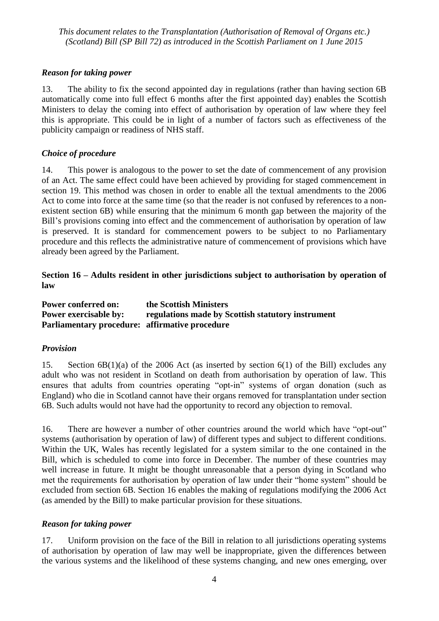#### *Reason for taking power*

13. The ability to fix the second appointed day in regulations (rather than having section 6B automatically come into full effect 6 months after the first appointed day) enables the Scottish Ministers to delay the coming into effect of authorisation by operation of law where they feel this is appropriate. This could be in light of a number of factors such as effectiveness of the publicity campaign or readiness of NHS staff.

#### *Choice of procedure*

14. This power is analogous to the power to set the date of commencement of any provision of an Act. The same effect could have been achieved by providing for staged commencement in section 19. This method was chosen in order to enable all the textual amendments to the 2006 Act to come into force at the same time (so that the reader is not confused by references to a nonexistent section 6B) while ensuring that the minimum 6 month gap between the majority of the Bill's provisions coming into effect and the commencement of authorisation by operation of law is preserved. It is standard for commencement powers to be subject to no Parliamentary procedure and this reflects the administrative nature of commencement of provisions which have already been agreed by the Parliament.

#### **Section 16 – Adults resident in other jurisdictions subject to authorisation by operation of law**

| <b>Power conferred on:</b>                     | the Scottish Ministers                            |
|------------------------------------------------|---------------------------------------------------|
| <b>Power exercisable by:</b>                   | regulations made by Scottish statutory instrument |
| Parliamentary procedure: affirmative procedure |                                                   |

#### *Provision*

15. Section 6B(1)(a) of the 2006 Act (as inserted by section 6(1) of the Bill) excludes any adult who was not resident in Scotland on death from authorisation by operation of law. This ensures that adults from countries operating "opt-in" systems of organ donation (such as England) who die in Scotland cannot have their organs removed for transplantation under section 6B. Such adults would not have had the opportunity to record any objection to removal.

16. There are however a number of other countries around the world which have "opt-out" systems (authorisation by operation of law) of different types and subject to different conditions. Within the UK, Wales has recently legislated for a system similar to the one contained in the Bill, which is scheduled to come into force in December. The number of these countries may well increase in future. It might be thought unreasonable that a person dying in Scotland who met the requirements for authorisation by operation of law under their "home system" should be excluded from section 6B. Section 16 enables the making of regulations modifying the 2006 Act (as amended by the Bill) to make particular provision for these situations.

#### *Reason for taking power*

17. Uniform provision on the face of the Bill in relation to all jurisdictions operating systems of authorisation by operation of law may well be inappropriate, given the differences between the various systems and the likelihood of these systems changing, and new ones emerging, over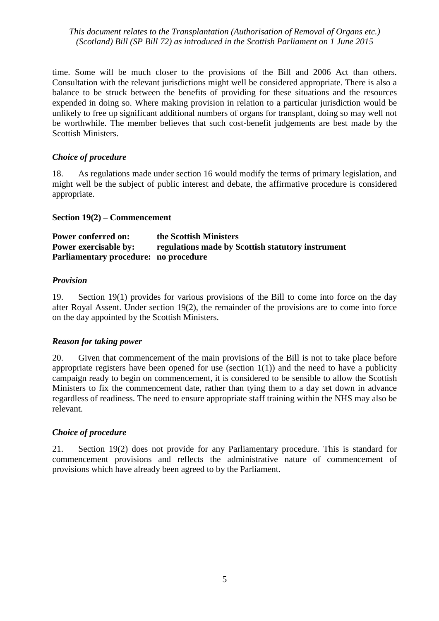time. Some will be much closer to the provisions of the Bill and 2006 Act than others. Consultation with the relevant jurisdictions might well be considered appropriate. There is also a balance to be struck between the benefits of providing for these situations and the resources expended in doing so. Where making provision in relation to a particular jurisdiction would be unlikely to free up significant additional numbers of organs for transplant, doing so may well not be worthwhile. The member believes that such cost-benefit judgements are best made by the Scottish Ministers.

#### *Choice of procedure*

18. As regulations made under section 16 would modify the terms of primary legislation, and might well be the subject of public interest and debate, the affirmative procedure is considered appropriate.

#### **Section 19(2) – Commencement**

**Power conferred on: the Scottish Ministers Power exercisable by: regulations made by Scottish statutory instrument Parliamentary procedure: no procedure**

#### *Provision*

19. Section 19(1) provides for various provisions of the Bill to come into force on the day after Royal Assent. Under section 19(2), the remainder of the provisions are to come into force on the day appointed by the Scottish Ministers.

#### *Reason for taking power*

20. Given that commencement of the main provisions of the Bill is not to take place before appropriate registers have been opened for use (section  $1(1)$ ) and the need to have a publicity campaign ready to begin on commencement, it is considered to be sensible to allow the Scottish Ministers to fix the commencement date, rather than tying them to a day set down in advance regardless of readiness. The need to ensure appropriate staff training within the NHS may also be relevant.

#### *Choice of procedure*

21. Section 19(2) does not provide for any Parliamentary procedure. This is standard for commencement provisions and reflects the administrative nature of commencement of provisions which have already been agreed to by the Parliament.